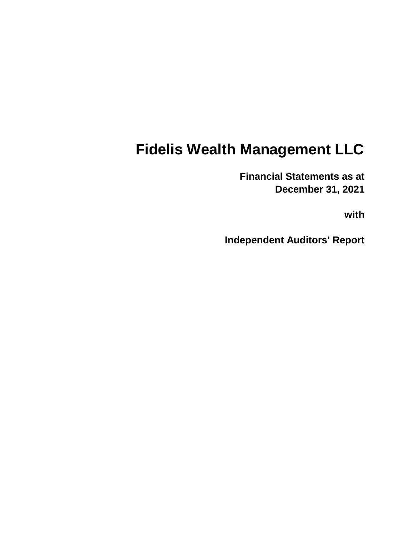## **Fidelis Wealth Management LLC**

**Financial Statements as at December 31, 2021**

**with**

**Independent Auditors' Report**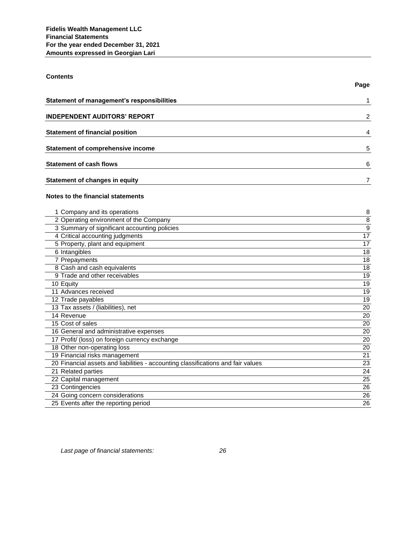# **Contents**

| Statement of management's responsibilities |                |
|--------------------------------------------|----------------|
|                                            |                |
| <b>INDEPENDENT AUDITORS' REPORT</b>        | 2              |
| <b>Statement of financial position</b>     | $\overline{4}$ |
| <b>Statement of comprehensive income</b>   | 5              |
| <b>Statement of cash flows</b>             | 6              |
| Statement of changes in equity             |                |

## **Notes to the financial statements**

| 2 Operating environment of the Company<br>3 Summary of significant accounting policies<br>4 Critical accounting judgments | 8<br>9<br>17<br>17 |
|---------------------------------------------------------------------------------------------------------------------------|--------------------|
|                                                                                                                           |                    |
|                                                                                                                           |                    |
|                                                                                                                           |                    |
| 5 Property, plant and equipment                                                                                           |                    |
| 6 Intangibles                                                                                                             | 18                 |
| 7 Prepayments                                                                                                             | 18                 |
| 8 Cash and cash equivalents                                                                                               | 18                 |
| 9 Trade and other receivables                                                                                             | 19                 |
| 10 Equity                                                                                                                 | 19                 |
| 11 Advances received                                                                                                      | 19                 |
| 12 Trade payables                                                                                                         | 19                 |
| 13 Tax assets / (liabilities), net                                                                                        | 20                 |
| 14 Revenue                                                                                                                | 20                 |
| 15 Cost of sales                                                                                                          | 20                 |
| 16 General and administrative expenses                                                                                    | 20                 |
| 17 Profit/ (loss) on foreign currency exchange                                                                            | 20                 |
| 18 Other non-operating loss                                                                                               | 20                 |
| 19 Financial risks management                                                                                             | 21                 |
| 20 Financial assets and liabilities - accounting classifications and fair values                                          | 23                 |
| 21 Related parties                                                                                                        | 24                 |
| 22 Capital management                                                                                                     | 25                 |
| 23 Contingencies                                                                                                          | 26                 |
| 24 Going concern considerations                                                                                           | 26                 |
| 25 Events after the reporting period                                                                                      | 26                 |

*Last page of financial statements: 26*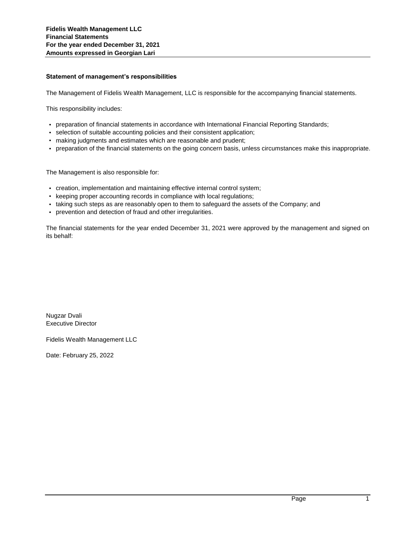## **Statement of management's responsibilities**

The Management of Fidelis Wealth Management, LLC is responsible for the accompanying financial statements.

This responsibility includes:

- preparation of financial statements in accordance with International Financial Reporting Standards;
- selection of suitable accounting policies and their consistent application;
- making judgments and estimates which are reasonable and prudent;
- preparation of the financial statements on the going concern basis, unless circumstances make this inappropriate.

The Management is also responsible for:

- creation, implementation and maintaining effective internal control system;
- keeping proper accounting records in compliance with local regulations;
- taking such steps as are reasonably open to them to safeguard the assets of the Company; and
- prevention and detection of fraud and other irregularities.

The financial statements for the year ended December 31, 2021 were approved by the management and signed on its behalf:

Nugzar Dvali Executive Director

Fidelis Wealth Management LLC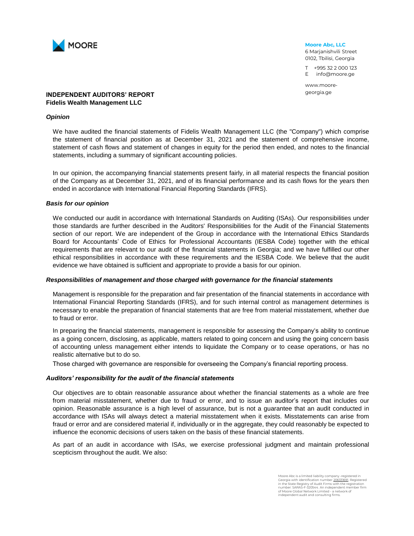

**Moore Abc, LLC** 6 Marjanishvili Street

0102, Tbilisi, Georgia T +995 32 2 000 123

E info@moore.ge www.moore-

georgia.ge

## **INDEPENDENT AUDITORS' REPORT Fidelis Wealth Management LLC**

#### *Opinion*

We have audited the financial statements of Fidelis Wealth Management LLC (the "Company") which comprise the statement of financial position as at December 31, 2021 and the statement of comprehensive income, statement of cash flows and statement of changes in equity for the period then ended, and notes to the financial statements, including a summary of significant accounting policies.

In our opinion, the accompanying financial statements present fairly, in all material respects the financial position of the Company as at December 31, 2021, and of its financial performance and its cash flows for the years then ended in accordance with International Financial Reporting Standards (IFRS).

## *Basis for our opinion*

**communication** We conducted our audit in accordance with International Standards on Auditing (ISAs). Our responsibilities under those standards are further described in the Auditors' Responsibilities for the Audit of the Financial Statements section of our report. We are independent of the Group in accordance with the International Ethics Standards Board for Accountants' Code of Ethics for Professional Accountants (IESBA Code) together with the ethical requirements that are relevant to our audit of the financial statements in Georgia; and we have fulfilled our other ethical responsibilities in accordance with these requirements and the IESBA Code. We believe that the audit evidence we have obtained is sufficient and appropriate to provide a basis for our opinion.

#### *Responsibilities of management and those charged with governance for the financial statements*

Management is responsible for the preparation and fair presentation of the financial statements in accordance with International Financial Reporting Standards (IFRS), and for such internal control as management determines is necessary to enable the preparation of financial statements that are free from material misstatement, whether due to fraud or error.

In preparing the financial statements, management is responsible for assessing the Company's ability to continue as a going concern, disclosing, as applicable, matters related to going concern and using the going concern basis of accounting unless management either intends to liquidate the Company or to cease operations, or has no realistic alternative but to do so.

Those charged with governance are responsible for overseeing the Company's financial reporting process.

#### *Auditors' responsibility for the audit of the financial statements*

Our objectives are to obtain reasonable assurance about whether the financial statements as a whole are free from material misstatement, whether due to fraud or error, and to issue an auditor's report that includes our opinion. Reasonable assurance is a high level of assurance, but is not a guarantee that an audit conducted in accordance with ISAs will always detect a material misstatement when it exists. Misstatements can arise from fraud or error and are considered material if, individually or in the aggregate, they could reasonably be expected to influence the economic decisions of users taken on the basis of these financial statements.

As part of an audit in accordance with ISAs, we exercise professional judgment and maintain professional scepticism throughout the audit. We also:

Moore Abc is a limited liability company -registered in<br>Georgia with identification number <u>20633169</u>1. Registered<br>in the State Registry of Audit Firms with the registration<br>number: SARAS-F-320544. An independent member fi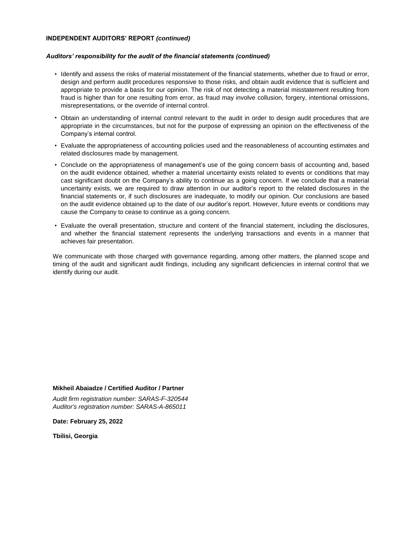#### **INDEPENDENT AUDITORS' REPORT** *(continued)*

#### *Auditors' responsibility for the audit of the financial statements (continued)*

- Identify and assess the risks of material misstatement of the financial statements, whether due to fraud or error, design and perform audit procedures responsive to those risks, and obtain audit evidence that is sufficient and appropriate to provide a basis for our opinion. The risk of not detecting a material misstatement resulting from fraud is higher than for one resulting from error, as fraud may involve collusion, forgery, intentional omissions, misrepresentations, or the override of internal control.
- Obtain an understanding of internal control relevant to the audit in order to design audit procedures that are appropriate in the circumstances, but not for the purpose of expressing an opinion on the effectiveness of the Company's internal control.
- Evaluate the appropriateness of accounting policies used and the reasonableness of accounting estimates and related disclosures made by management.
- Conclude on the appropriateness of management's use of the going concern basis of accounting and, based on the audit evidence obtained, whether a material uncertainty exists related to events or conditions that may cast significant doubt on the Company's ability to continue as a going concern. If we conclude that a material uncertainty exists, we are required to draw attention in our auditor's report to the related disclosures in the financial statements or, if such disclosures are inadequate, to modify our opinion. Our conclusions are based on the audit evidence obtained up to the date of our auditor's report. However, future events or conditions may cause the Company to cease to continue as a going concern.
- Evaluate the overall presentation, structure and content of the financial statement, including the disclosures, and whether the financial statement represents the underlying transactions and events in a manner that achieves fair presentation.

We communicate with those charged with governance regarding, among other matters, the planned scope and timing of the audit and significant audit findings, including any significant deficiencies in internal control that we identify during our audit.

#### **Mikheil Abaiadze / Certified Auditor / Partner**

*Audit firm registration number: SARAS-F-320544 Auditor's registration number: SARAS-A-865011*

**Date: February 25, 2022**

**Tbilisi, Georgia**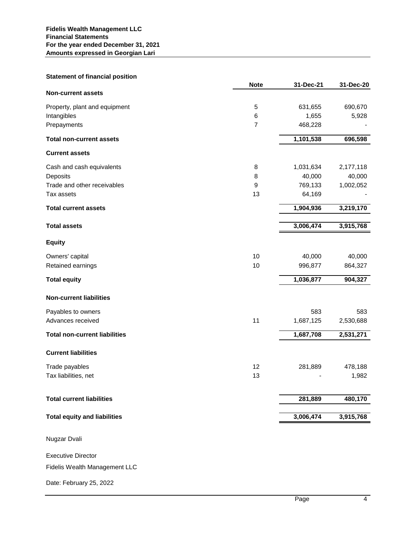## **Statement of financial position**

|                                      | <b>Note</b>    | 31-Dec-21 | 31-Dec-20 |
|--------------------------------------|----------------|-----------|-----------|
| <b>Non-current assets</b>            |                |           |           |
| Property, plant and equipment        | 5              | 631,655   | 690,670   |
| Intangibles                          | 6              | 1,655     | 5,928     |
| Prepayments                          | $\overline{7}$ | 468,228   |           |
| <b>Total non-current assets</b>      |                | 1,101,538 | 696,598   |
| <b>Current assets</b>                |                |           |           |
| Cash and cash equivalents            | 8              | 1,031,634 | 2,177,118 |
| Deposits                             | 8              | 40,000    | 40,000    |
| Trade and other receivables          | 9              | 769,133   | 1,002,052 |
| Tax assets                           | 13             | 64,169    |           |
| <b>Total current assets</b>          |                | 1,904,936 | 3,219,170 |
| <b>Total assets</b>                  |                | 3,006,474 | 3,915,768 |
| <b>Equity</b>                        |                |           |           |
| Owners' capital                      | 10             | 40,000    | 40,000    |
| Retained earnings                    | 10             | 996,877   | 864,327   |
| <b>Total equity</b>                  |                | 1,036,877 | 904,327   |
| <b>Non-current liabilities</b>       |                |           |           |
| Payables to owners                   |                | 583       | 583       |
| Advances received                    | 11             | 1,687,125 | 2,530,688 |
| <b>Total non-current liabilities</b> |                | 1,687,708 | 2,531,271 |
| <b>Current liabilities</b>           |                |           |           |
| Trade payables                       | 12             | 281,889   | 478,188   |
| Tax liabilities, net                 | 13             |           | 1,982     |
| <b>Total current liabilities</b>     |                | 281,889   | 480,170   |
| <b>Total equity and liabilities</b>  |                | 3,006,474 | 3,915,768 |
|                                      |                |           |           |
| Nugzar Dvali                         |                |           |           |
| <b>Executive Director</b>            |                |           |           |

Fidelis Wealth Management LLC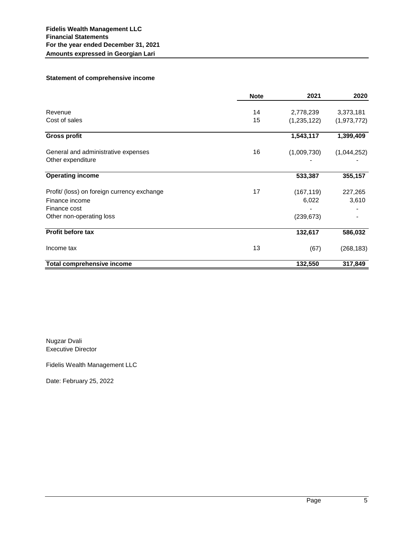## **Statement of comprehensive income**

|                                             | <b>Note</b> | 2021        | 2020        |
|---------------------------------------------|-------------|-------------|-------------|
| Revenue                                     | 14          | 2,778,239   | 3,373,181   |
| Cost of sales                               | 15          | (1,235,122) | (1,973,772) |
| <b>Gross profit</b>                         |             | 1,543,117   | 1,399,409   |
| General and administrative expenses         | 16          | (1,009,730) | (1,044,252) |
| Other expenditure                           |             |             |             |
| <b>Operating income</b>                     |             | 533,387     | 355,157     |
| Profit/ (loss) on foreign currency exchange | 17          | (167, 119)  | 227,265     |
| Finance income                              |             | 6,022       | 3,610       |
| Finance cost                                |             |             |             |
| Other non-operating loss                    |             | (239, 673)  |             |
| <b>Profit before tax</b>                    |             | 132,617     | 586,032     |
| Income tax                                  | 13          | (67)        | (268, 183)  |
| <b>Total comprehensive income</b>           |             | 132,550     | 317,849     |

Nugzar Dvali Executive Director

Fidelis Wealth Management LLC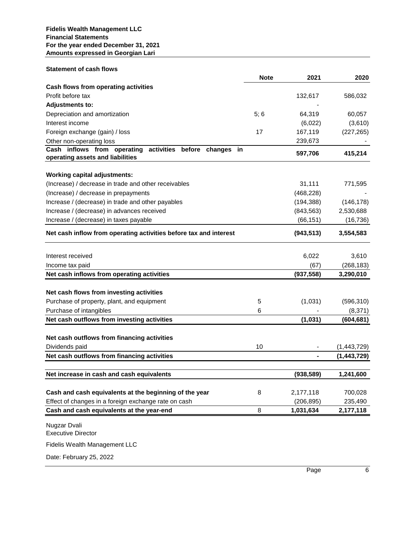## **Statement of cash flows**

|                                                                                                       | <b>Note</b> | 2021       | 2020        |
|-------------------------------------------------------------------------------------------------------|-------------|------------|-------------|
| Cash flows from operating activities                                                                  |             |            |             |
| Profit before tax                                                                                     |             | 132,617    | 586,032     |
| <b>Adjustments to:</b>                                                                                |             |            |             |
| Depreciation and amortization                                                                         | 5; 6        | 64,319     | 60,057      |
| Interest income                                                                                       |             | (6,022)    | (3,610)     |
| Foreign exchange (gain) / loss                                                                        | 17          | 167,119    | (227, 265)  |
| Other non-operating loss                                                                              |             | 239,673    |             |
| activities before<br>Cash inflows from operating<br>changes<br>in<br>operating assets and liabilities |             | 597,706    | 415,214     |
| <b>Working capital adjustments:</b>                                                                   |             |            |             |
| (Increase) / decrease in trade and other receivables                                                  |             | 31,111     | 771,595     |
| (Increase) / decrease in prepayments                                                                  |             | (468, 228) |             |
| Increase / (decrease) in trade and other payables                                                     |             | (194, 388) | (146, 178)  |
| Increase / (decrease) in advances received                                                            |             | (843, 563) | 2,530,688   |
| Increase / (decrease) in taxes payable                                                                |             | (66, 151)  | (16, 736)   |
| Net cash inflow from operating activities before tax and interest                                     |             | (943, 513) | 3,554,583   |
|                                                                                                       |             |            |             |
| Interest received                                                                                     |             | 6,022      | 3,610       |
| Income tax paid                                                                                       |             | (67)       | (268,183)   |
| Net cash inflows from operating activities                                                            |             | (937, 558) | 3,290,010   |
| Net cash flows from investing activities                                                              |             |            |             |
| Purchase of property, plant, and equipment                                                            | 5           | (1,031)    | (596, 310)  |
| Purchase of intangibles                                                                               | 6           |            | (8, 371)    |
| Net cash outflows from investing activities                                                           |             | (1,031)    | (604, 681)  |
|                                                                                                       |             |            |             |
| Net cash outflows from financing activities                                                           | 10          |            |             |
| Dividends paid<br>Net cash outflows from financing activities                                         |             |            | (1,443,729) |
|                                                                                                       |             |            | (1,443,729) |
| Net increase in cash and cash equivalents                                                             |             | (938, 589) | 1,241,600   |
|                                                                                                       |             |            |             |
| Cash and cash equivalents at the beginning of the year                                                | 8           | 2,177,118  | 700,028     |
| Effect of changes in a foreign exchange rate on cash                                                  |             | (206, 895) | 235,490     |
| Cash and cash equivalents at the year-end                                                             | 8           | 1,031,634  | 2,177,118   |
| Nugzar Dvali<br><b>Executive Director</b>                                                             |             |            |             |
| <b>Fidelis Wealth Management LLC</b>                                                                  |             |            |             |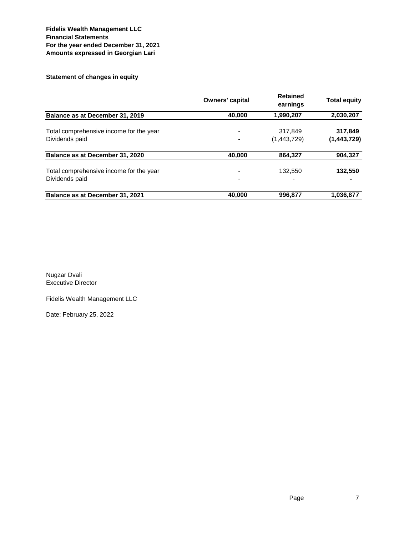## **Statement of changes in equity**

|                                         | <b>Owners' capital</b> | <b>Retained</b><br>earnings | <b>Total equity</b> |
|-----------------------------------------|------------------------|-----------------------------|---------------------|
| Balance as at December 31, 2019         | 40,000                 | 1,990,207                   | 2,030,207           |
| Total comprehensive income for the year |                        | 317,849                     | 317,849             |
| Dividends paid                          |                        | (1,443,729)                 | (1,443,729)         |
| Balance as at December 31, 2020         | 40,000                 | 864,327                     | 904,327             |
| Total comprehensive income for the year |                        | 132.550                     | 132,550             |
| Dividends paid                          |                        |                             |                     |
| Balance as at December 31, 2021         | 40,000                 | 996.877                     | 1.036.877           |

Nugzar Dvali Executive Director

Fidelis Wealth Management LLC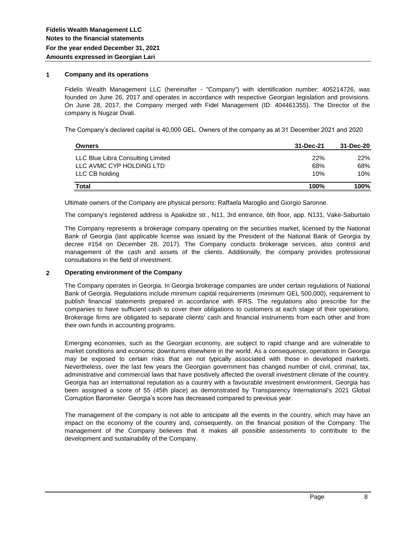#### **1 Company and its operations**

Fidelis Wealth Management LLC (hereinafter - "Company") with identification number: 405214726, was founded on June 26, 2017 and operates in accordance with respective Georgian legislation and provisions. On June 28, 2017, the Company merged with Fidel Management (ID: 404461355). The Director of the company is Nugzar Dvali.

The Company's declared capital is 40,000 GEL. Owners of the company as at 31 December 2021 and 2020

| <b>Owners</b>                     | 31-Dec-21  | 31-Dec-20 |
|-----------------------------------|------------|-----------|
| LLC Blue Libra Consulting Limited | <b>22%</b> | 22%       |
| LLC AVMC CYP HOLDING LTD          | 68%        | 68%       |
| LLC CB holding                    | 10%        | 10%       |
| <b>Total</b>                      | 100%       | 100%      |

Ultimate owners of the Company are physical persons: Raffaela Maroglio and Giorgio Saronne.

The company's registered address is Apakidze str., N11, 3rd entrance, 6th floor, app. N131, Vake-Saburtalo

district, Tbilisi, Georgia. The Company represents a brokerage company operating on the securities market, licensed by the National Bank of Georgia (last applicable license was issued by the President of the National Bank of Georgia by decree #154 on December 28, 2017). The Company conducts brokerage services, also control and management of the cash and assets of the clients. Additionally, the company provides professional consultations in the field of investment.

#### **2 Operating environment of the Company**

The Company operates in Georgia. In Georgia brokerage companies are under certain regulations of National Bank of Georgia. Regulations include minimum capital requirements (minimum GEL 500,000), requirement to publish financial statements prepared in accordance with IFRS. The regulations also prescribe for the companies to have sufficient cash to cover their obligations to customers at each stage of their operations. Brokerage firms are obligated to separate clients' cash and financial instruments from each other and from their own funds in accounting programs.

Emerging economies, such as the Georgian economy, are subject to rapid change and are vulnerable to market conditions and economic downturns elsewhere in the world. As a consequence, operations in Georgia may be exposed to certain risks that are not typically associated with those in developed markets. Nevertheless, over the last few years the Georgian government has changed number of civil, criminal, tax, administrative and commercial laws that have positively affected the overall investment climate of the country. Georgia has an international reputation as a country with a favourable investment environment. Georgia has been assigned a score of 55 (45th place) as demonstrated by Transparency International's 2021 Global Corruption Barometer. Georgia's score has decreased compared to previous year.

The management of the company is not able to anticipate all the events in the country, which may have an impact on the economy of the country and, consequently, on the financial position of the Company. The management of the Company believes that it makes all possible assessments to contribute to the development and sustainability of the Company.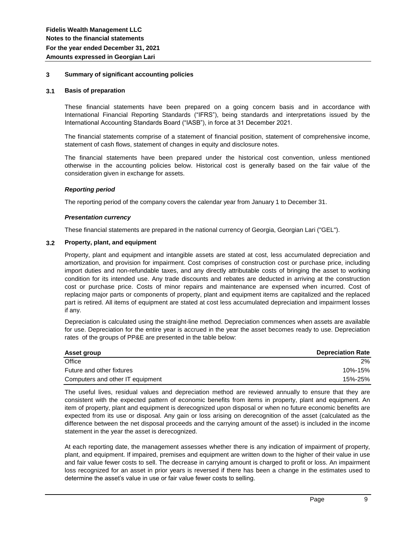## **3 Summary of significant accounting policies**

#### **3.1 Basis of preparation**

These financial statements have been prepared on a going concern basis and in accordance with International Financial Reporting Standards ("IFRS"), being standards and interpretations issued by the International Accounting Standards Board ("IASB"), in force at 31 December 2021.

The financial statements comprise of a statement of financial position, statement of comprehensive income, statement of cash flows, statement of changes in equity and disclosure notes.

The financial statements have been prepared under the historical cost convention, unless mentioned otherwise in the accounting policies below. Historical cost is generally based on the fair value of the consideration given in exchange for assets.

## *Reporting period*

The reporting period of the company covers the calendar year from January 1 to December 31.

## *Presentation currency*

These financial statements are prepared in the national currency of Georgia, Georgian Lari ("GEL").

#### **3.2 Property, plant, and equipment**

Property, plant and equipment and intangible assets are stated at cost, less accumulated depreciation and amortization, and provision for impairment. Cost comprises of construction cost or purchase price, including import duties and non-refundable taxes, and any directly attributable costs of bringing the asset to working condition for its intended use. Any trade discounts and rebates are deducted in arriving at the construction cost or purchase price. Costs of minor repairs and maintenance are expensed when incurred. Cost of replacing major parts or components of property, plant and equipment items are capitalized and the replaced part is retired. All items of equipment are stated at cost less accumulated depreciation and impairment losses if any.

Depreciation is calculated using the straight-line method. Depreciation commences when assets are available for use. Depreciation for the entire year is accrued in the year the asset becomes ready to use. Depreciation rates of the groups of PP&E are presented in the table below:

| Asset group                      | <b>Depreciation Rate</b> |
|----------------------------------|--------------------------|
| Office                           | $2\%$                    |
| Future and other fixtures        | 10%-15%                  |
| Computers and other IT equipment | 15%-25%                  |

The useful lives, residual values and depreciation method are reviewed annually to ensure that they are consistent with the expected pattern of economic benefits from items in property, plant and equipment. An item of property, plant and equipment is derecognized upon disposal or when no future economic benefits are expected from its use or disposal. Any gain or loss arising on derecognition of the asset (calculated as the difference between the net disposal proceeds and the carrying amount of the asset) is included in the income statement in the year the asset is derecognized.

At each reporting date, the management assesses whether there is any indication of impairment of property, plant, and equipment. If impaired, premises and equipment are written down to the higher of their value in use and fair value fewer costs to sell. The decrease in carrying amount is charged to profit or loss. An impairment loss recognized for an asset in prior years is reversed if there has been a change in the estimates used to determine the asset's value in use or fair value fewer costs to selling.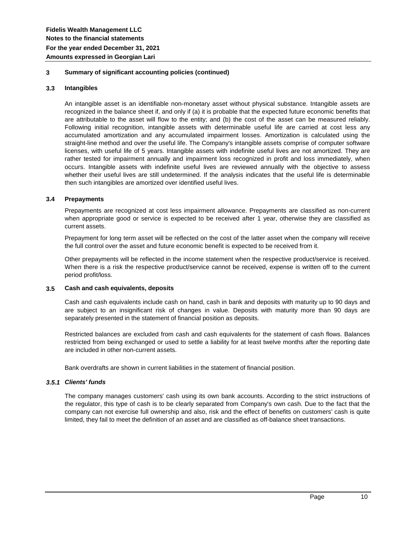#### **3.3 Intangibles**

An intangible asset is an identifiable non-monetary asset without physical substance. Intangible assets are recognized in the balance sheet if, and only if (a) it is probable that the expected future economic benefits that are attributable to the asset will flow to the entity; and (b) the cost of the asset can be measured reliably. Following initial recognition, intangible assets with determinable useful life are carried at cost less any accumulated amortization and any accumulated impairment losses. Amortization is calculated using the straight-line method and over the useful life. The Company's intangible assets comprise of computer software licenses, with useful life of 5 years. Intangible assets with indefinite useful lives are not amortized. They are rather tested for impairment annually and impairment loss recognized in profit and loss immediately, when occurs. Intangible assets with indefinite useful lives are reviewed annually with the objective to assess whether their useful lives are still undetermined. If the analysis indicates that the useful life is determinable then such intangibles are amortized over identified useful lives.

## **3.4 Prepayments**

Prepayments are recognized at cost less impairment allowance. Prepayments are classified as non-current when appropriate good or service is expected to be received after 1 year, otherwise they are classified as current assets.

Prepayment for long term asset will be reflected on the cost of the latter asset when the company will receive the full control over the asset and future economic benefit is expected to be received from it.

Other prepayments will be reflected in the income statement when the respective product/service is received. When there is a risk the respective product/service cannot be received, expense is written off to the current period profit/loss.

#### **3.5 Cash and cash equivalents, deposits**

Cash and cash equivalents include cash on hand, cash in bank and deposits with maturity up to 90 days and are subject to an insignificant risk of changes in value. Deposits with maturity more than 90 days are separately presented in the statement of financial position as deposits.

Restricted balances are excluded from cash and cash equivalents for the statement of cash flows. Balances restricted from being exchanged or used to settle a liability for at least twelve months after the reporting date are included in other non-current assets.

Bank overdrafts are shown in current liabilities in the statement of financial position.

#### *3.5.1 Clients' funds*

The company manages customers' cash using its own bank accounts. According to the strict instructions of the regulator, this type of cash is to be clearly separated from Company's own cash. Due to the fact that the company can not exercise full ownership and also, risk and the effect of benefits on customers' cash is quite limited, they fail to meet the definition of an asset and are classified as off-balance sheet transactions.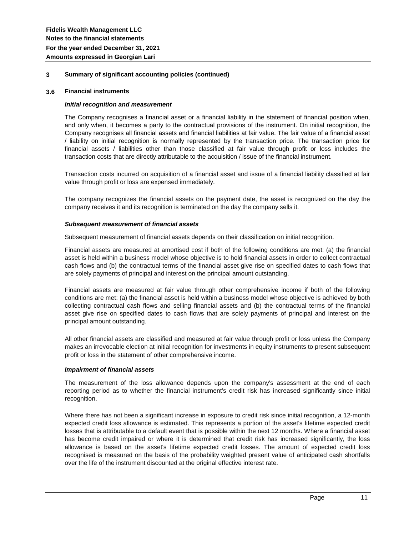## **3.6 Financial instruments**

## *Initial recognition and measurement*

The Company recognises a financial asset or a financial liability in the statement of financial position when, and only when, it becomes a party to the contractual provisions of the instrument. On initial recognition, the Company recognises all financial assets and financial liabilities at fair value. The fair value of a financial asset / liability on initial recognition is normally represented by the transaction price. The transaction price for financial assets / liabilities other than those classified at fair value through profit or loss includes the transaction costs that are directly attributable to the acquisition / issue of the financial instrument.

Transaction costs incurred on acquisition of a financial asset and issue of a financial liability classified at fair value through profit or loss are expensed immediately.

The company recognizes the financial assets on the payment date, the asset is recognized on the day the company receives it and its recognition is terminated on the day the company sells it.

## *Subsequent measurement of financial assets*

Subsequent measurement of financial assets depends on their classification on initial recognition.

Financial assets are measured at amortised cost if both of the following conditions are met: (a) the financial asset is held within a business model whose objective is to hold financial assets in order to collect contractual cash flows and (b) the contractual terms of the financial asset give rise on specified dates to cash flows that are solely payments of principal and interest on the principal amount outstanding.

Financial assets are measured at fair value through other comprehensive income if both of the following conditions are met: (a) the financial asset is held within a business model whose objective is achieved by both collecting contractual cash flows and selling financial assets and (b) the contractual terms of the financial asset give rise on specified dates to cash flows that are solely payments of principal and interest on the principal amount outstanding.

All other financial assets are classified and measured at fair value through profit or loss unless the Company makes an irrevocable election at initial recognition for investments in equity instruments to present subsequent profit or loss in the statement of other comprehensive income.

## *Impairment of financial assets*

The measurement of the loss allowance depends upon the company's assessment at the end of each reporting period as to whether the financial instrument's credit risk has increased significantly since initial recognition.

Where there has not been a significant increase in exposure to credit risk since initial recognition, a 12-month expected credit loss allowance is estimated. This represents a portion of the asset's lifetime expected credit losses that is attributable to a default event that is possible within the next 12 months. Where a financial asset has become credit impaired or where it is determined that credit risk has increased significantly, the loss allowance is based on the asset's lifetime expected credit losses. The amount of expected credit loss recognised is measured on the basis of the probability weighted present value of anticipated cash shortfalls over the life of the instrument discounted at the original effective interest rate.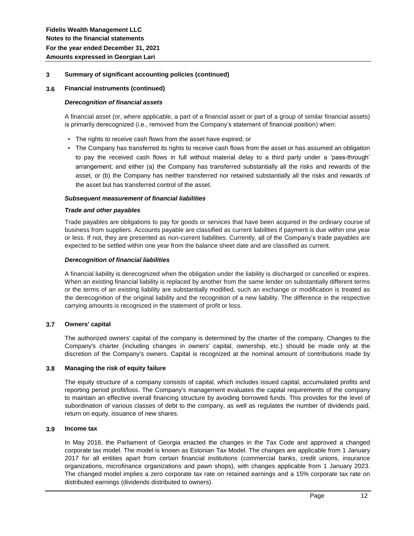## **3.6 Financial instruments (continued)**

## *Derecognition of financial assets*

A financial asset (or, where applicable, a part of a financial asset or part of a group of similar financial assets) is primarily derecognized (i.e., removed from the Company's statement of financial position) when:

- The rights to receive cash flows from the asset have expired; or
- The Company has transferred its rights to receive cash flows from the asset or has assumed an obligation to pay the received cash flows in full without material delay to a third party under a 'pass-through' arrangement; and either (a) the Company has transferred substantially all the risks and rewards of the asset, or (b) the Company has neither transferred nor retained substantially all the risks and rewards of the asset but has transferred control of the asset.

#### *Subsequent measurement of financial liabilities*

#### *Trade and other payables*

Trade payables are obligations to pay for goods or services that have been acquired in the ordinary course of business from suppliers. Accounts payable are classified as current liabilities if payment is due within one year or less. If not, they are presented as non-current liabilities. Currently, all of the Company's trade payables are expected to be settled within one year from the balance sheet date and are classified as current.

## *Derecognition of financial liabilities*

A financial liability is derecognized when the obligation under the liability is discharged or cancelled or expires. When an existing financial liability is replaced by another from the same lender on substantially different terms or the terms of an existing liability are substantially modified, such an exchange or modification is treated as the derecognition of the original liability and the recognition of a new liability. The difference in the respective carrying amounts is recognized in the statement of profit or loss.

## **3.7 Owners' capital**

The authorized owners' capital of the company is determined by the charter of the company. Changes to the Company's charter (including changes in owners' capital, ownership, etc.) should be made only at the discretion of the Company's owners. Capital is recognized at the nominal amount of contributions made by

#### **3.8 Managing the risk of equity failure**

The equity structure of a company consists of capital, which includes issued capital, accumulated profits and reporting period profit/loss. The Company's management evaluates the capital requirements of the company to maintain an effective overall financing structure by avoiding borrowed funds. This provides for the level of subordination of various classes of debt to the company, as well as regulates the number of dividends paid, return on equity, issuance of new shares.

#### **3.9 Income tax**

In May 2016, the Parliament of Georgia enacted the changes in the Tax Code and approved a changed corporate tax model. The model is known as Estonian Tax Model. The changes are applicable from 1 January 2017 for all entities apart from certain financial institutions (commercial banks, credit unions, insurance organizations, microfinance organizations and pawn shops), with changes applicable from 1 January 2023. The changed model implies a zero corporate tax rate on retained earnings and a 15% corporate tax rate on distributed earnings (dividends distributed to owners).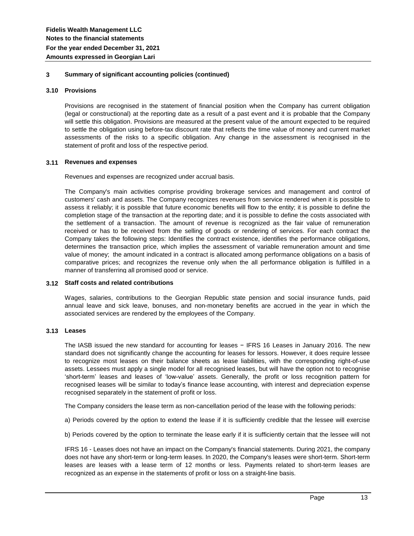#### **3.10 Provisions**

Provisions are recognised in the statement of financial position when the Company has current obligation (legal or constructional) at the reporting date as a result of a past event and it is probable that the Company will settle this obligation. Provisions are measured at the present value of the amount expected to be required to settle the obligation using before-tax discount rate that reflects the time value of money and current market assessments of the risks to a specific obligation. Any change in the assessment is recognised in the statement of profit and loss of the respective period.

#### **3.11 Revenues and expenses**

Revenues and expenses are recognized under accrual basis.

The Company's main activities comprise providing brokerage services and management and control of customers' cash and assets. The Company recognizes revenues from service rendered when it is possible to assess it reliably; it is possible that future economic benefits will flow to the entity; it is possible to define the completion stage of the transaction at the reporting date; and it is possible to define the costs associated with the settlement of a transaction. The amount of revenue is recognized as the fair value of remuneration received or has to be received from the selling of goods or rendering of services. For each contract the Company takes the following steps: Identifies the contract existence, identifies the performance obligations, determines the transaction price, which implies the assessment of variable remuneration amount and time value of money; the amount indicated in a contract is allocated among performance obligations on a basis of comparative prices; and recognizes the revenue only when the all performance obligation is fulfilled in a manner of transferring all promised good or service.

## **3.12 Staff costs and related contributions**

Wages, salaries, contributions to the Georgian Republic state pension and social insurance funds, paid annual leave and sick leave, bonuses, and non-monetary benefits are accrued in the year in which the associated services are rendered by the employees of the Company.

#### **3.13 Leases**

The IASB issued the new standard for accounting for leases − IFRS 16 Leases in January 2016. The new standard does not significantly change the accounting for leases for lessors. However, it does require lessee to recognize most leases on their balance sheets as lease liabilities, with the corresponding right-of-use assets. Lessees must apply a single model for all recognised leases, but will have the option not to recognise 'short-term' leases and leases of 'low-value' assets. Generally, the profit or loss recognition pattern for recognised leases will be similar to today's finance lease accounting, with interest and depreciation expense recognised separately in the statement of profit or loss.

The Company considers the lease term as non-cancellation period of the lease with the following periods:

a) Periods covered by the option to extend the lease if it is sufficiently credible that the lessee will exercise

b) Periods covered by the option to terminate the lease early if it is sufficiently certain that the lessee will not

IFRS 16 - Leases does not have an impact on the Company's financial statements. During 2021, the company does not have any short-term or long-term leases. In 2020, the Company's leases were short-term. Short-term leases are leases with a lease term of 12 months or less. Payments related to short-term leases are recognized as an expense in the statements of profit or loss on a straight-line basis.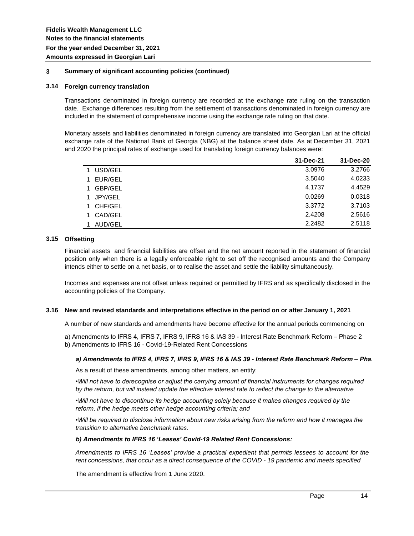## **3.14 Foreign currency translation**

Transactions denominated in foreign currency are recorded at the exchange rate ruling on the transaction date. Exchange differences resulting from the settlement of transactions denominated in foreign currency are included in the statement of comprehensive income using the exchange rate ruling on that date.

Monetary assets and liabilities denominated in foreign currency are translated into Georgian Lari at the official exchange rate of the National Bank of Georgia (NBG) at the balance sheet date. As at December 31, 2021 and 2020 the principal rates of exchange used for translating foreign currency balances were:

|           | 31-Dec-21 | 31-Dec-20 |
|-----------|-----------|-----------|
| 1 USD/GEL | 3.0976    | 3.2766    |
| 1 EUR/GEL | 3.5040    | 4.0233    |
| GBP/GEL   | 4.1737    | 4.4529    |
| 1 JPY/GEL | 0.0269    | 0.0318    |
| 1 CHF/GEL | 3.3772    | 3.7103    |
| 1 CAD/GEL | 2.4208    | 2.5616    |
| AUD/GEL   | 2.2482    | 2.5118    |

## **3.15 Offsetting**

Financial assets and financial liabilities are offset and the net amount reported in the statement of financial position only when there is a legally enforceable right to set off the recognised amounts and the Company intends either to settle on a net basis, or to realise the asset and settle the liability simultaneously.

Incomes and expenses are not offset unless required or permitted by IFRS and as specifically disclosed in the accounting policies of the Company.

## **3.16 New and revised standards and interpretations effective in the period on or after January 1, 2021**

A number of new standards and amendments have become effective for the annual periods commencing on

a) Amendments to IFRS 4, IFRS 7, IFRS 9, IFRS 16 & IAS 39 - Interest Rate Benchmark Reform – Phase 2 b) Amendments to IFRS 16 - Covid-19-Related Rent Concessions

## a) Amendments to IFRS 4, IFRS 7, IFRS 9, IFRS 16 & IAS 39 - Interest Rate Benchmark Reform - Pha

As a result of these amendments, among other matters, an entity:

*• Will not have to derecognise or adjust the carrying amount of financial instruments for changes required by the reform, but will instead update the effective interest rate to reflect the change to the alternative* 

*• Will not have to discontinue its hedge accounting solely because it makes changes required by the*  reform, if the hedge meets other hedge accounting criteria; and

*• Will be required to disclose information about new risks arising from the reform and how it manages the transition to alternative benchmark rates.* 

## *b) Amendments to IFRS 16 'Leases' Covid-19 Related Rent Concessions:*

*Amendments to IFRS 16 'Leases' provide a practical expedient that permits lessees to account for the rent concessions, that occur as a direct consequence of the COVID - 19 pandemic and meets specified* 

The amendment is effective from 1 June 2020.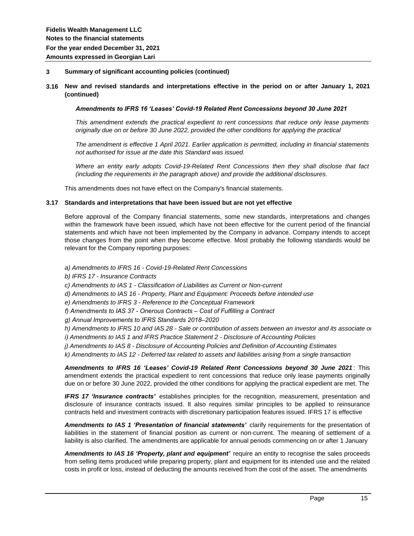## **3.16 New and revised standards and interpretations effective in the period on or after January 1, 2021 (continued)**

## *Amendments to IFRS 16 'Leases' Covid-19 Related Rent Concessions beyond 30 June 2021*

*This amendment extends the practical expedient to rent concessions that reduce only lease payments originally due on or before 30 June 2022, provided the other conditions for applying the practical* 

*The amendment is effective 1 April 2021. Earlier application is permitted, including in financial statements not authorised for issue at the date this Standard was issued.*

*Where an entity early adopts Covid-19-Related Rent Concessions then they shall disclose that fact (including the requirements in the paragraph above) and provide the additional disclosures.*

This amendments does not have effect on the Company's financial statements.

## **3.17 Standards and interpretations that have been issued but are not yet effective**

Before approval of the Company financial statements, some new standards, interpretations and changes within the framework have been issued, which have not been effective for the current period of the financial statements and which have not been implemented by the Company in advance. Company intends to accept those changes from the point when they become effective. Most probably the following standards would be relevant for the Company reporting purposes:

*a) Amendments to IFRS 16 - Covid-19-Related Rent Concessions*

*b) IFRS 17 - Insurance Contracts* 

*c) Amendments to IAS 1 - Classification of Liabilities as Current or Non-current*

*d) Amendments to IAS 16 - Property, Plant and Equipment: Proceeds before intended use*

*e) Amendments to IFRS 3 - Reference to the Conceptual Framework*

*f) Amendments to IAS 37 - Onerous Contracts – Cost of Fulfilling a Contract*

*g) Annual Improvements to IFRS Standards 2018–2020*

*h) Amendments to IFRS 10 and IAS 28 - Sale or contribution of assets between an investor and its associate or joint venture* 

*i) Amendments to IAS 1 and IFRS Practice Statement 2 - Disclosure of Accounting Policies*

*j) Amendments to IAS 8 - Disclosure of Accounting Policies and Definition of Accounting Estimates*

*k) Amendments to IAS 12 - Deferred tax related to assets and liabilities arising from a single transaction*

*Amendments to IFRS 16 'Leases' Covid-19 Related Rent Concessions beyond 30 June 2021* : This amendment extends the practical expedient to rent concessions that reduce only lease payments originally due on or before 30 June 2022, provided the other conditions for applying the practical expedient are met. The

*IFRS 17 'Insurance contracts'* establishes principles for the recognition, measurement, presentation and disclosure of insurance contracts issued. It also requires similar principles to be applied to reinsurance contracts held and investment contracts with discretionary participation features issued. IFRS 17 is effective

*Amendments to IAS 1 'Presentation of financial statements'* clarify requirements for the presentation of liabilities in the statement of financial position as current or non-current. The meaning of settlement of a liability is also clarified. The amendments are applicable for annual periods commencing on or after 1 January

*Amendments to IAS 16 'Property, plant and equipment'* require an entity to recognise the sales proceeds from selling items produced while preparing property, plant and equipment for its intended use and the related costs in profit or loss, instead of deducting the amounts received from the cost of the asset. The amendments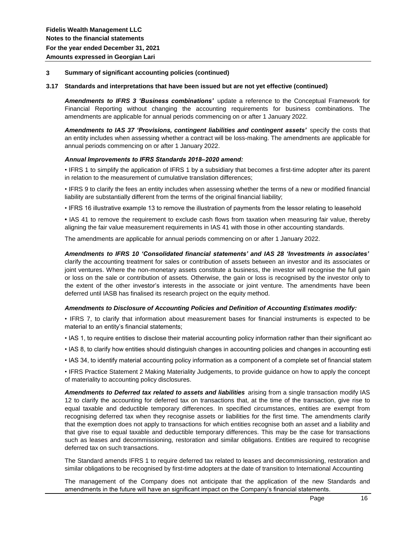#### **3.17 Standards and interpretations that have been issued but are not yet effective (continued)**

*Amendments to IFRS 3 'Business combinations'* update a reference to the Conceptual Framework for Financial Reporting without changing the accounting requirements for business combinations. The amendments are applicable for annual periods commencing on or after 1 January 2022.

*Amendments to IAS 37 'Provisions, contingent liabilities and contingent assets'* specify the costs that an entity includes when assessing whether a contract will be loss-making. The amendments are applicable for annual periods commencing on or after 1 January 2022.

## *Annual Improvements to IFRS Standards 2018–2020 amend:*

• IFRS 1 to simplify the application of IFRS 1 by a subsidiary that becomes a first-time adopter after its parent in relation to the measurement of cumulative translation differences; 

• IFRS 9 to clarify the fees an entity includes when assessing whether the terms of a new or modified financial liability are substantially different from the terms of the original financial liability; 

• IFRS 16 illustrative example 13 to remove the illustration of payments from the lessor relating to leasehold

**•** IAS 41 to remove the requirement to exclude cash flows from taxation when measuring fair value, thereby aligning the fair value measurement requirements in IAS 41 with those in other accounting standards.

The amendments are applicable for annual periods commencing on or after 1 January 2022.

*Amendments to IFRS 10 'Consolidated financial statements' and IAS 28 'Investments in associates'* clarify the accounting treatment for sales or contribution of assets between an investor and its associates or joint ventures. Where the non-monetary assets constitute a business, the investor will recognise the full gain or loss on the sale or contribution of assets. Otherwise, the gain or loss is recognised by the investor only to the extent of the other investor's interests in the associate or joint venture. The amendments have been deferred until IASB has finalised its research project on the equity method.

#### *Amendments to Disclosure of Accounting Policies and Definition of Accounting Estimates modify:*

• IFRS 7, to clarify that information about measurement bases for financial instruments is expected to be material to an entity's financial statements;

- IAS 1, to require entities to disclose their material accounting policy information rather than their significant actors
- IAS 8, to clarify how entities should distinguish changes in accounting policies and changes in accounting esti
- IAS 34, to identify material accounting policy information as a component of a complete set of financial statem

• IFRS Practice Statement 2 Making Materiality Judgements, to provide guidance on how to apply the concept of materiality to accounting policy disclosures.

*Amendments to Deferred tax related to assets and liabilities* arising from a single transaction modify IAS 12 to clarify the accounting for deferred tax on transactions that, at the time of the transaction, give rise to equal taxable and deductible temporary differences. In specified circumstances, entities are exempt from recognising deferred tax when they recognise assets or liabilities for the first time. The amendments clarify that the exemption does not apply to transactions for which entities recognise both an asset and a liability and that give rise to equal taxable and deductible temporary differences. This may be the case for transactions such as leases and decommissioning, restoration and similar obligations. Entities are required to recognise deferred tax on such transactions.

The Standard amends IFRS 1 to require deferred tax related to leases and decommissioning, restoration and similar obligations to be recognised by first-time adopters at the date of transition to International Accounting

The management of the Company does not anticipate that the application of the new Standards and amendments in the future will have an significant impact on the Company's financial statements.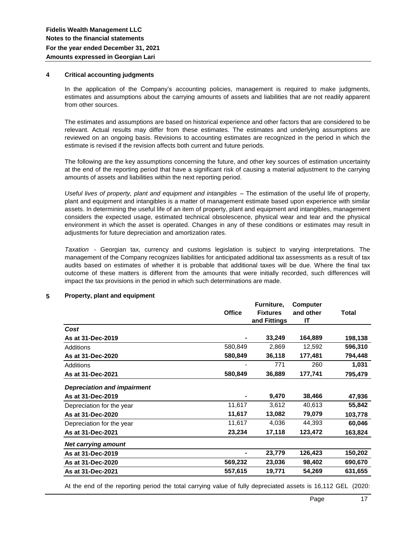#### **4 Critical accounting judgments**

In the application of the Company's accounting policies, management is required to make judgments, estimates and assumptions about the carrying amounts of assets and liabilities that are not readily apparent from other sources.

The estimates and assumptions are based on historical experience and other factors that are considered to be relevant. Actual results may differ from these estimates. The estimates and underlying assumptions are reviewed on an ongoing basis. Revisions to accounting estimates are recognized in the period in which the estimate is revised if the revision affects both current and future periods.

The following are the key assumptions concerning the future, and other key sources of estimation uncertainty at the end of the reporting period that have a significant risk of causing a material adjustment to the carrying amounts of assets and liabilities within the next reporting period.

*Useful lives of property, plant and equipment and intangibles* – The estimation of the useful life of property, plant and equipment and intangibles is a matter of management estimate based upon experience with similar assets. In determining the useful life of an item of property, plant and equipment and intangibles, management considers the expected usage, estimated technical obsolescence, physical wear and tear and the physical environment in which the asset is operated. Changes in any of these conditions or estimates may result in adjustments for future depreciation and amortization rates.

*Taxation* - Georgian tax, currency and customs legislation is subject to varying interpretations. The management of the Company recognizes liabilities for anticipated additional tax assessments as a result of tax audits based on estimates of whether it is probable that additional taxes will be due. Where the final tax outcome of these matters is different from the amounts that were initially recorded, such differences will impact the tax provisions in the period in which such determinations are made.

#### **5 Property, plant and equipment**

 $\overline{\phantom{a}}$  .  $\overline{\phantom{a}}$ 

|                                    |               | Furniture,      | Computer  |         |
|------------------------------------|---------------|-----------------|-----------|---------|
|                                    | <b>Office</b> | <b>Fixtures</b> | and other | Total   |
|                                    |               | and Fittings    | IT        |         |
| Cost                               |               |                 |           |         |
| As at 31-Dec-2019                  |               | 33,249          | 164,889   | 198,138 |
| Additions                          | 580,849       | 2,869           | 12,592    | 596,310 |
| As at 31-Dec-2020                  | 580,849       | 36,118          | 177,481   | 794,448 |
| Additions                          |               | 771             | 260       | 1,031   |
| As at 31-Dec-2021                  | 580,849       | 36,889          | 177,741   | 795,479 |
| <b>Depreciation and impairment</b> |               |                 |           |         |
| As at 31-Dec-2019                  |               | 9,470           | 38,466    | 47,936  |
| Depreciation for the year          | 11,617        | 3,612           | 40,613    | 55,842  |
| As at 31-Dec-2020                  | 11,617        | 13,082          | 79,079    | 103,778 |
| Depreciation for the year          | 11,617        | 4,036           | 44,393    | 60,046  |
| As at 31-Dec-2021                  | 23,234        | 17,118          | 123,472   | 163,824 |
| <b>Net carrying amount</b>         |               |                 |           |         |
| As at 31-Dec-2019                  |               | 23,779          | 126,423   | 150,202 |
| As at 31-Dec-2020                  | 569,232       | 23,036          | 98,402    | 690,670 |
| As at 31-Dec-2021                  | 557,615       | 19,771          | 54,269    | 631,655 |

At the end of the reporting period the total carrying value of fully depreciated assets is 16,112 GEL (2020: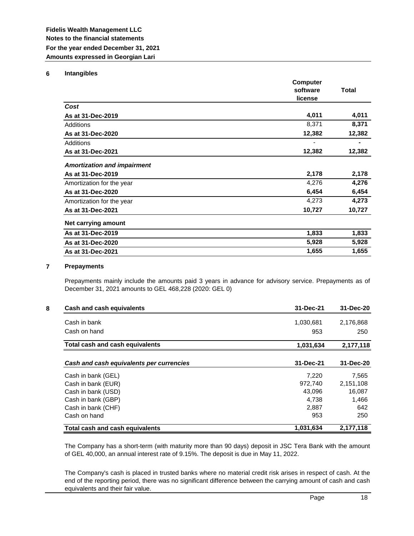#### **6 Intangibles**

|                                    | <b>Computer</b> |              |
|------------------------------------|-----------------|--------------|
|                                    | software        | <b>Total</b> |
|                                    | license         |              |
| Cost                               |                 |              |
| As at 31-Dec-2019                  | 4,011           | 4,011        |
| Additions                          | 8,371           | 8,371        |
| As at 31-Dec-2020                  | 12,382          | 12,382       |
| Additions                          |                 |              |
| As at 31-Dec-2021                  | 12,382          | 12,382       |
| <b>Amortization and impairment</b> |                 |              |
| As at 31-Dec-2019                  | 2,178           | 2,178        |
| Amortization for the year          | 4,276           | 4,276        |
| As at 31-Dec-2020                  | 6,454           | 6,454        |
| Amortization for the year          | 4,273           | 4,273        |
| As at 31-Dec-2021                  | 10,727          | 10,727       |
| Net carrying amount                |                 |              |
| As at 31-Dec-2019                  | 1,833           | 1,833        |
| As at 31-Dec-2020                  | 5,928           | 5,928        |
| As at 31-Dec-2021                  | 1,655           | 1,655        |

## **7 Prepayments**

Prepayments mainly include the amounts paid 3 years in advance for advisory service. Prepayments as of December 31, 2021 amounts to GEL 468,228 (2020: GEL 0)

| <b>Cash and cash equivalents</b>         | 31-Dec-21 | 31-Dec-20 |
|------------------------------------------|-----------|-----------|
| Cash in bank                             | 1,030,681 | 2,176,868 |
| Cash on hand                             | 953       | 250       |
| Total cash and cash equivalents          | 1,031,634 | 2,177,118 |
| Cash and cash equivalents per currencies | 31-Dec-21 | 31-Dec-20 |
| Cash in bank (GEL)                       | 7,220     | 7,565     |
| Cash in bank (EUR)                       | 972,740   | 2,151,108 |
| Cash in bank (USD)                       | 43,096    | 16,087    |
| Cash in bank (GBP)                       | 4,738     | 1,466     |
| Cash in bank (CHF)                       | 2,887     | 642       |
| Cash on hand                             | 953       | 250       |
| Total cash and cash equivalents          | 1,031,634 | 2,177,118 |

The Company has a short-term (with maturity more than 90 days) deposit in JSC Tera Bank with the amount of GEL 40,000, an annual interest rate of 9.15%. The deposit is due in May 11, 2022.

The Company's cash is placed in trusted banks where no material credit risk arises in respect of cash. At the end of the reporting period, there was no significant difference between the carrying amount of cash and cash equivalents and their fair value.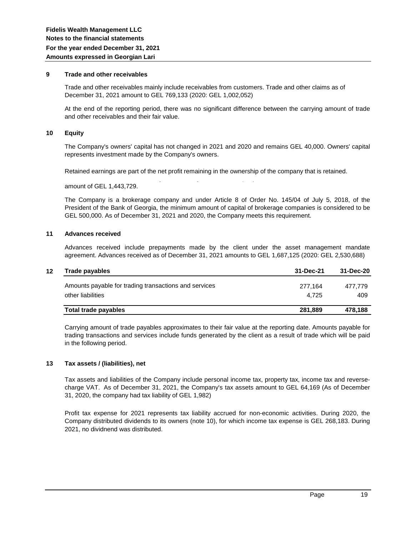#### **9 Trade and other receivables**

Trade and other receivables mainly include receivables from customers. Trade and other claims as of December 31, 2021 amount to GEL 769,133 (2020: GEL 1,002,052)

At the end of the reporting period, there was no significant difference between the carrying amount of trade and other receivables and their fair value.

## **10 Equity**

The Company's owners' capital has not changed in 2021 and 2020 and remains GEL 40,000. Owners' capital represents investment made by the Company's owners.

Retained earnings are part of the net profit remaining in the ownership of the company that is retained.

Dividend was not distributed during 2021. During 2020, the Company distributed dividends to its owners in the amount of GEL 1,443,729.

The Company is a brokerage company and under Article 8 of Order No. 145/04 of July 5, 2018, of the President of the Bank of Georgia, the minimum amount of capital of brokerage companies is considered to be GEL 500,000. As of December 31, 2021 and 2020, the Company meets this requirement.

## **11 Advances received**

Advances received include prepayments made by the client under the asset management mandate agreement. Advances received as of December 31, 2021 amounts to GEL 1,687,125 (2020: GEL 2,530,688)

| Trade payables                                        | 31-Dec-21 | 31-Dec-20 |
|-------------------------------------------------------|-----------|-----------|
| Amounts payable for trading transactions and services | 277.164   | 477.779   |
| other liabilities                                     | 4.725     | 409       |
| <b>Total trade payables</b>                           | 281,889   | 478,188   |

Carrying amount of trade payables approximates to their fair value at the reporting date. Amounts payable for trading transactions and services include funds generated by the client as a result of trade which will be paid in the following period.

## **13 Tax assets / (liabilities), net**

Tax assets and liabilities of the Company include personal income tax, property tax, income tax and reversecharge VAT. As of December 31, 2021, the Company's tax assets amount to GEL 64,169 (As of December 31, 2020, the company had tax liability of GEL 1,982)

Profit tax expense for 2021 represents tax liability accrued for non-economic activities. During 2020, the Company distributed dividends to its owners (note 10), for which income tax expense is GEL 268,183. During 2021, no dividnend was distributed.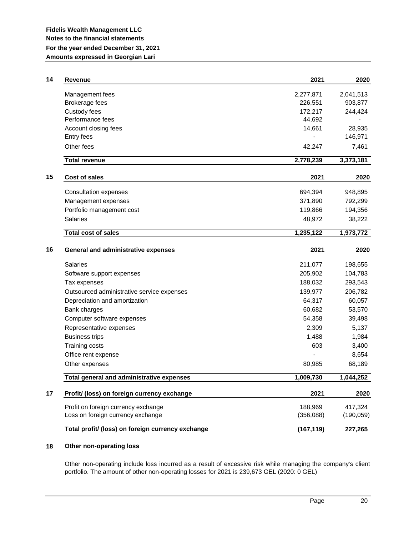| 14 | <b>Revenue</b>                                    | 2021       | 2020       |
|----|---------------------------------------------------|------------|------------|
|    | Management fees                                   | 2,277,871  | 2,041,513  |
|    | <b>Brokerage fees</b>                             | 226,551    | 903,877    |
|    | Custody fees                                      | 172,217    | 244,424    |
|    | Performance fees                                  | 44,692     |            |
|    | Account closing fees                              | 14,661     | 28,935     |
|    | Entry fees                                        |            | 146,971    |
|    | Other fees                                        | 42,247     | 7,461      |
|    | <b>Total revenue</b>                              | 2,778,239  | 3,373,181  |
| 15 | <b>Cost of sales</b>                              | 2021       | 2020       |
|    | <b>Consultation expenses</b>                      | 694,394    | 948,895    |
|    | Management expenses                               | 371,890    | 792,299    |
|    | Portfolio management cost                         | 119,866    | 194,356    |
|    | <b>Salaries</b>                                   | 48,972     | 38,222     |
|    | <b>Total cost of sales</b>                        | 1,235,122  | 1,973,772  |
| 16 | <b>General and administrative expenses</b>        | 2021       | 2020       |
|    | <b>Salaries</b>                                   | 211,077    | 198,655    |
|    | Software support expenses                         | 205,902    | 104,783    |
|    | Tax expenses                                      | 188,032    | 293,543    |
|    | Outsourced administrative service expenses        | 139,977    | 206,782    |
|    | Depreciation and amortization                     | 64,317     | 60,057     |
|    | Bank charges                                      | 60,682     | 53,570     |
|    | Computer software expenses                        | 54,358     | 39,498     |
|    | Representative expenses                           | 2,309      | 5,137      |
|    | <b>Business trips</b>                             | 1,488      | 1,984      |
|    | Training costs                                    | 603        | 3,400      |
|    | Office rent expense                               |            | 8,654      |
|    | Other expenses                                    | 80,985     | 68,189     |
|    | Total general and administrative expenses         | 1,009,730  | 1,044,252  |
| 17 | Profit/ (loss) on foreign currency exchange       | 2021       | 2020       |
|    | Profit on foreign currency exchange               | 188,969    | 417,324    |
|    | Loss on foreign currency exchange                 | (356,088)  | (190, 059) |
|    | Total profit/ (loss) on foreign currency exchange | (167, 119) | 227,265    |

## **18 Other non-operating loss**

Other non-operating include loss incurred as a result of excessive risk while managing the company's client portfolio. The amount of other non-operating losses for 2021 is 239,673 GEL (2020: 0 GEL)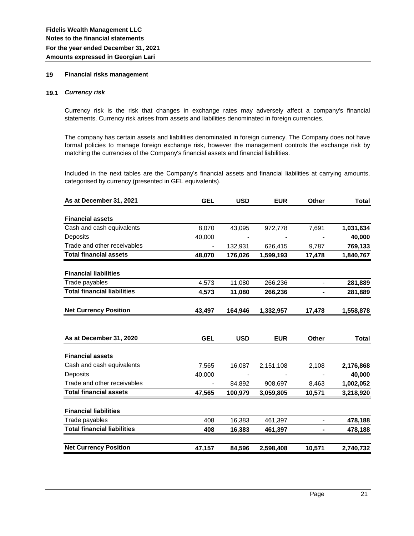#### **19 Financial risks management**

## **19.1** *Currency risk*

Currency risk is the risk that changes in exchange rates may adversely affect a company's financial statements. Currency risk arises from assets and liabilities denominated in foreign currencies.

The company has certain assets and liabilities denominated in foreign currency. The Company does not have formal policies to manage foreign exchange risk, however the management controls the exchange risk by matching the currencies of the Company's financial assets and financial liabilities.

Included in the next tables are the Company's financial assets and financial liabilities at carrying amounts, categorised by currency (presented in GEL equivalents).

| As at December 31, 2021            | <b>GEL</b> | <b>USD</b> | <b>EUR</b> | <b>Other</b>             | <b>Total</b> |
|------------------------------------|------------|------------|------------|--------------------------|--------------|
|                                    |            |            |            |                          |              |
| <b>Financial assets</b>            |            |            |            |                          |              |
| Cash and cash equivalents          | 8,070      | 43,095     | 972,778    | 7,691                    | 1,031,634    |
| Deposits                           | 40,000     |            |            |                          | 40,000       |
| Trade and other receivables        |            | 132,931    | 626,415    | 9,787                    | 769,133      |
| <b>Total financial assets</b>      | 48,070     | 176,026    | 1,599,193  | 17,478                   | 1,840,767    |
| <b>Financial liabilities</b>       |            |            |            |                          |              |
| Trade payables                     | 4,573      | 11,080     | 266,236    | $\overline{a}$           | 281,889      |
| <b>Total financial liabilities</b> | 4,573      | 11,080     | 266,236    |                          | 281,889      |
|                                    |            |            |            |                          |              |
| <b>Net Currency Position</b>       | 43,497     | 164,946    | 1,332,957  | 17,478                   | 1,558,878    |
| As at December 31, 2020            | <b>GEL</b> | <b>USD</b> | <b>EUR</b> | <b>Other</b>             | <b>Total</b> |
| <b>Financial assets</b>            |            |            |            |                          |              |
| Cash and cash equivalents          | 7,565      | 16,087     | 2,151,108  | 2,108                    | 2,176,868    |
| Deposits                           | 40,000     |            |            |                          | 40,000       |
| Trade and other receivables        |            | 84,892     | 908,697    | 8,463                    | 1,002,052    |
| <b>Total financial assets</b>      | 47,565     | 100,979    | 3,059,805  | 10,571                   | 3,218,920    |
| <b>Financial liabilities</b>       |            |            |            |                          |              |
| Trade payables                     | 408        | 16,383     | 461,397    | $\overline{\phantom{a}}$ | 478,188      |
| <b>Total financial liabilities</b> | 408        | 16,383     | 461,397    |                          | 478,188      |
| <b>Net Currency Position</b>       | 47,157     | 84,596     | 2,598,408  | 10,571                   | 2,740,732    |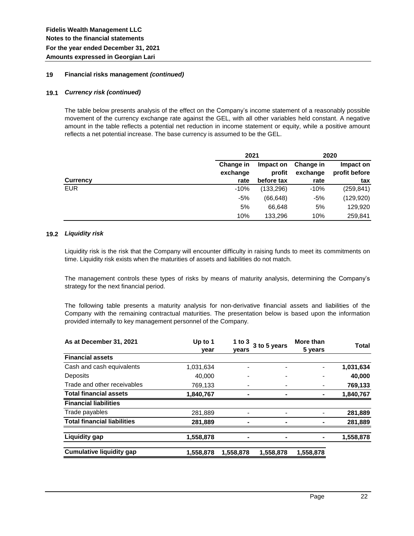## **19 Financial risks management** *(continued)*

## **19.1** *Currency risk (continued)*

The table below presents analysis of the effect on the Company's income statement of a reasonably possible movement of the currency exchange rate against the GEL, with all other variables held constant. A negative amount in the table reflects a potential net reduction in income statement or equity, while a positive amount reflects a net potential increase. The base currency is assumed to be the GEL.

|                 |                               | 2021                              |                               | 2020                              |  |
|-----------------|-------------------------------|-----------------------------------|-------------------------------|-----------------------------------|--|
| <b>Currency</b> | Change in<br>exchange<br>rate | Impact on<br>profit<br>before tax | Change in<br>exchange<br>rate | Impact on<br>profit before<br>tax |  |
| <b>EUR</b>      | $-10%$                        | (133, 296)                        | $-10%$                        | (259, 841)                        |  |
|                 | $-5%$                         | (66, 648)                         | $-5%$                         | (129, 920)                        |  |
|                 | 5%                            | 66,648                            | 5%                            | 129,920                           |  |
|                 | 10%                           | 133,296                           | 10%                           | 259,841                           |  |

## **19.2** *Liquidity risk*

Liquidity risk is the risk that the Company will encounter difficulty in raising funds to meet its commitments on time. Liquidity risk exists when the maturities of assets and liabilities do not match.

The management controls these types of risks by means of maturity analysis, determining the Company's strategy for the next financial period.

The following table presents a maturity analysis for non-derivative financial assets and liabilities of the Company with the remaining contractual maturities. The presentation below is based upon the information provided internally to key management personnel of the Company.

| As at December 31, 2021            | Up to 1<br>year | 1 to $3$<br>vears | 3 to 5 years | More than<br>5 years | <b>Total</b> |
|------------------------------------|-----------------|-------------------|--------------|----------------------|--------------|
| <b>Financial assets</b>            |                 |                   |              |                      |              |
| Cash and cash equivalents          | 1,031,634       | ۰                 | ۰            |                      | 1,031,634    |
| Deposits                           | 40,000          |                   |              |                      | 40,000       |
| Trade and other receivables        | 769,133         |                   |              |                      | 769,133      |
| <b>Total financial assets</b>      | 1,840,767       |                   |              |                      | 1,840,767    |
| <b>Financial liabilities</b>       |                 |                   |              |                      |              |
| Trade payables                     | 281,889         |                   |              |                      | 281,889      |
| <b>Total financial liabilities</b> | 281,889         | -                 |              |                      | 281,889      |
| <b>Liquidity gap</b>               | 1,558,878       |                   |              |                      | 1,558,878    |
| <b>Cumulative liquidity gap</b>    | 1,558,878       | 1,558,878         | 1,558,878    | 1,558,878            |              |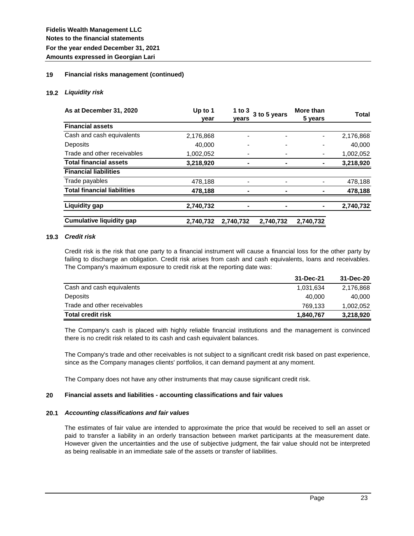## **19 Financial risks management (continued)**

## **19.2** *Liquidity risk*

| As at December 31, 2020            | Up to 1<br>year | 1 to 3<br>vears | 3 to 5 years | More than<br>5 years | <b>Total</b> |
|------------------------------------|-----------------|-----------------|--------------|----------------------|--------------|
| <b>Financial assets</b>            |                 |                 |              |                      |              |
| Cash and cash equivalents          | 2,176,868       |                 |              |                      | 2,176,868    |
| <b>Deposits</b>                    | 40,000          |                 |              |                      | 40,000       |
| Trade and other receivables        | 1,002,052       |                 |              |                      | 1,002,052    |
| <b>Total financial assets</b>      | 3,218,920       |                 |              |                      | 3,218,920    |
| <b>Financial liabilities</b>       |                 |                 |              |                      |              |
| Trade payables                     | 478,188         |                 |              |                      | 478,188      |
| <b>Total financial liabilities</b> | 478,188         |                 |              |                      | 478,188      |
| Liquidity gap                      | 2,740,732       |                 |              |                      | 2,740,732    |
| <b>Cumulative liquidity gap</b>    | 2,740,732       | 2,740,732       | 2,740,732    | 2,740,732            |              |

## **19.3** *Credit risk*

Credit risk is the risk that one party to a financial instrument will cause a financial loss for the other party by failing to discharge an obligation. Credit risk arises from cash and cash equivalents, loans and receivables. The Company's maximum exposure to credit risk at the reporting date was:

|                             | 31-Dec-21 | 31-Dec-20 |
|-----------------------------|-----------|-----------|
| Cash and cash equivalents   | 1,031,634 | 2,176,868 |
| Deposits                    | 40.000    | 40.000    |
| Trade and other receivables | 769.133   | 1,002,052 |
| <b>Total credit risk</b>    | 1,840,767 | 3,218,920 |

The Company's cash is placed with highly reliable financial institutions and the management is convinced there is no credit risk related to its cash and cash equivalent balances.

The Company's trade and other receivables is not subject to a significant credit risk based on past experience, since as the Company manages clients' portfolios, it can demand payment at any moment.

The Company does not have any other instruments that may cause significant credit risk.

## **20 Financial assets and liabilities - accounting classifications and fair values**

#### **20.1** *Accounting classifications and fair values*

The estimates of fair value are intended to approximate the price that would be received to sell an asset or paid to transfer a liability in an orderly transaction between market participants at the measurement date. However given the uncertainties and the use of subjective judgment, the fair value should not be interpreted as being realisable in an immediate sale of the assets or transfer of liabilities.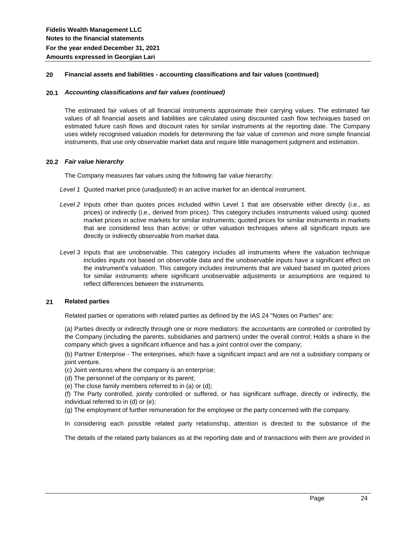## **20 Financial assets and liabilities - accounting classifications and fair values (continued)**

## **20.1** *Accounting classifications and fair values (continued)*

The estimated fair values of all financial instruments approximate their carrying values. The estimated fair values of all financial assets and liabilities are calculated using discounted cash flow techniques based on estimated future cash flows and discount rates for similar instruments at the reporting date. The Company uses widely recognised valuation models for determining the fair value of common and more simple financial instruments, that use only observable market data and require little management judgment and estimation.

## **20.2** *Fair value hierarchy*

The Company measures fair values using the following fair value hierarchy:

- *Level 1* Quoted market price (unadjusted) in an active market for an identical instrument.
- Level 2 Inputs other than quotes prices included within Level 1 that are observable either directly (i.e., as prices) or indirectly (i.e., derived from prices). This category includes instruments valued using: quoted market prices in active markets for similar instruments; quoted prices for similar instruments in markets that are considered less than active; or other valuation techniques where all significant inputs are directly or indirectly observable from market data.
- Level 3 Inputs that are unobservable. This category includes all instruments where the valuation technique includes inputs not based on observable data and the unobservable inputs have a significant effect on the instrument's valuation. This category includes instruments that are valued based on quoted prices for similar instruments where significant unobservable adjustments or assumptions are required to reflect differences between the instruments.

## **21 Related parties**

Related parties or operations with related parties as defined by the IAS 24 "Notes on Parties" are:

(a) Parties directly or indirectly through one or more mediators: the accountants are controlled or controlled by the Company (including the parents, subsidiaries and partners) under the overall control; Holds a share in the company which gives a significant influence and has a joint control over the company;

(b) Partner Enterprise - The enterprises, which have a significant impact and are not a subsidiary company or joint venture.

(c) Joint ventures where the company is an enterprise;

(d) The personnel of the company or its parent;

(e) The close family members referred to in (a) or (d);

(f) The Party controlled, jointly controlled or suffered, or has significant suffrage, directly or indirectly, the individual referred to in (d) or (e);

(g) The employment of further remuneration for the employee or the party concerned with the company.

In considering each possible related party relationship, attention is directed to the substance of the

The details of the related party balances as at the reporting date and of transactions with them are provided in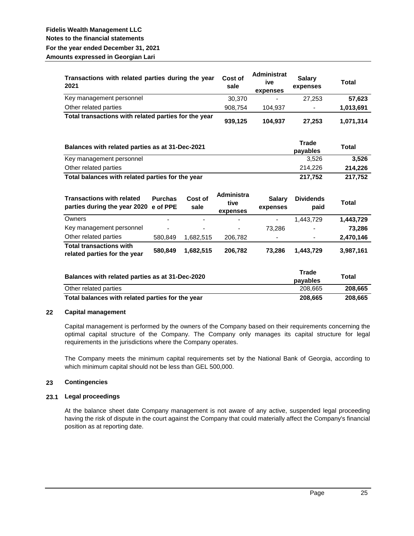| Transactions with related parties during the year<br>2021 | Cost of<br>sale | Administrat<br>ive<br>expenses | <b>Salary</b><br>expenses | <b>Total</b> |
|-----------------------------------------------------------|-----------------|--------------------------------|---------------------------|--------------|
| Key management personnel                                  | 30,370          |                                | 27.253                    | 57,623       |
| Other related parties                                     | 908.754         | 104.937                        |                           | 1,013,691    |
| Total transactions with related parties for the year      | 939,125         | 104,937                        | 27,253                    | 1,071,314    |

| Balances with related parties as at 31-Dec-2021  | <b>Trade</b><br>pavables | Total   |
|--------------------------------------------------|--------------------------|---------|
| Key management personnel                         | 3.526                    | 3,526   |
| Other related parties                            | 214.226                  | 214.226 |
| Total balances with related parties for the year | 217.752                  | 217.752 |

| <b>Transactions with related</b><br>parties during the year 2020 e of PPE | <b>Purchas</b> | Cost of<br>sale          | Administra<br>tive<br>expenses | <b>Salary</b><br>expenses | <b>Dividends</b><br>paid | <b>Total</b> |
|---------------------------------------------------------------------------|----------------|--------------------------|--------------------------------|---------------------------|--------------------------|--------------|
| Owners                                                                    | ٠              | ۰                        | ٠                              | ۰                         | 1,443,729                | 1,443,729    |
| Key management personnel                                                  | $\blacksquare$ | $\overline{\phantom{a}}$ | $\overline{\phantom{0}}$       | 73.286                    |                          | 73,286       |
| Other related parties                                                     | 580.849        | 1.682.515                | 206,782                        |                           |                          | 2,470,146    |
| <b>Total transactions with</b><br>related parties for the year            | 580,849        | 1,682,515                | 206.782                        | 73.286                    | 1.443.729                | 3,987,161    |

| Balances with related parties as at 31-Dec-2020  | <b>Trade</b><br>payables | Total   |
|--------------------------------------------------|--------------------------|---------|
| Other related parties                            | 208.665                  | 208,665 |
| Total balances with related parties for the year | 208.665                  | 208.665 |

#### **22 Capital management**

Capital management is performed by the owners of the Company based on their requirements concerning the optimal capital structure of the Company. The Company only manages its capital structure for legal requirements in the jurisdictions where the Company operates.

The Company meets the minimum capital requirements set by the National Bank of Georgia, according to which minimum capital should not be less than GEL 500,000.

## **23 Contingencies**

## **23.1 Legal proceedings**

At the balance sheet date Company management is not aware of any active, suspended legal proceeding having the risk of dispute in the court against the Company that could materially affect the Company's financial position as at reporting date.